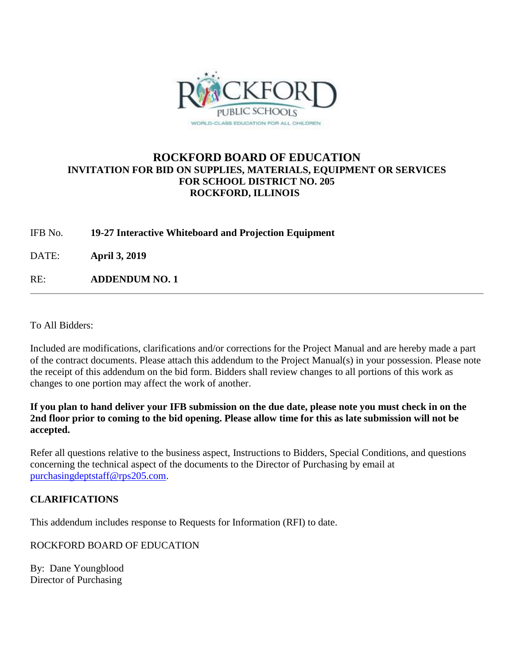

## **ROCKFORD BOARD OF EDUCATION INVITATION FOR BID ON SUPPLIES, MATERIALS, EQUIPMENT OR SERVICES FOR SCHOOL DISTRICT NO. 205 ROCKFORD, ILLINOIS**

IFB No. **19-27 Interactive Whiteboard and Projection Equipment**

DATE: **April 3, 2019**

RE: **ADDENDUM NO. 1**

To All Bidders:

Included are modifications, clarifications and/or corrections for the Project Manual and are hereby made a part of the contract documents. Please attach this addendum to the Project Manual(s) in your possession. Please note the receipt of this addendum on the bid form. Bidders shall review changes to all portions of this work as changes to one portion may affect the work of another.

**If you plan to hand deliver your IFB submission on the due date, please note you must check in on the 2nd floor prior to coming to the bid opening. Please allow time for this as late submission will not be accepted.**

Refer all questions relative to the business aspect, Instructions to Bidders, Special Conditions, and questions concerning the technical aspect of the documents to the Director of Purchasing by email at [purchasingdeptstaff@rps205.com.](mailto:purchasingdeptstaff@rps205.com)

## **CLARIFICATIONS**

This addendum includes response to Requests for Information (RFI) to date.

ROCKFORD BOARD OF EDUCATION

By: Dane Youngblood Director of Purchasing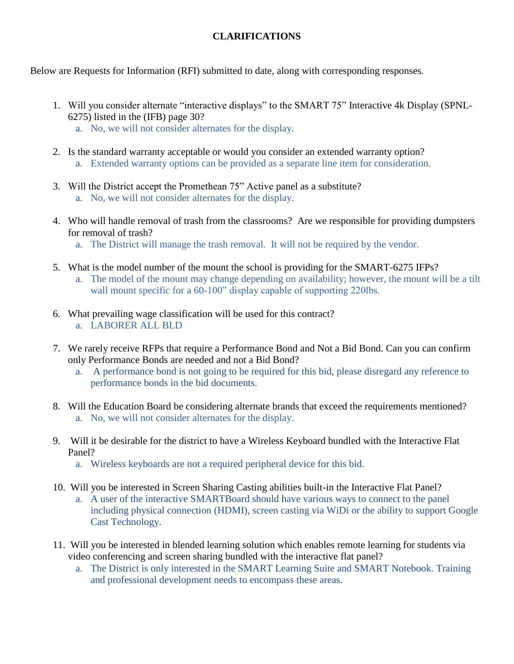## **CLARIFICATIONS**

Below are Requests for Information (RFI) submitted to date, along with corresponding responses.

- 1. Will you consider alternate "interactive displays" to the SMART 75" Interactive 4k Display (SPNL-6275) listed in the (IFB) page 30?
	- a. No, we will not consider alternates for the display.
- 2. Is the standard warranty acceptable or would you consider an extended warranty option? a. Extended warranty options can be provided as a separate line item for consideration.
- 3. Will the District accept the Promethean 75" Active panel as a substitute? a. No, we will not consider alternates for the display.
- 4. Who will handle removal of trash from the classrooms? Are we responsible for providing dumpsters for removal of trash?
	- a. The District will manage the trash removal. It will not be required by the vendor.
- 5. What is the model number of the mount the school is providing for the SMART-6275 IFPs?
	- a. The model of the mount may change depending on availability; however, the mount will be a tilt wall mount specific for a 60-100" display capable of supporting 220lbs.
- 6. What prevailing wage classification will be used for this contract? a. LABORER ALL BLD
- 7. We rarely receive RFPs that require a Performance Bond and Not a Bid Bond. Can you can confirm only Performance Bonds are needed and not a Bid Bond?
	- a. A performance bond is not going to be required for this bid, please disregard any reference to performance bonds in the bid documents.
- 8. Will the Education Board be considering alternate brands that exceed the requirements mentioned? a. No, we will not consider alternates for the display.
- 9. Will it be desirable for the district to have a Wireless Keyboard bundled with the Interactive Flat Panel?
	- a. Wireless keyboards are not a required peripheral device for this bid.
- 10. Will you be interested in Screen Sharing Casting abilities built-in the Interactive Flat Panel? a. A user of the interactive SMARTBoard should have various ways to connect to the panel including physical connection (HDMI), screen casting via WiDi or the ability to support Google Cast Technology.
- 11. Will you be interested in blended learning solution which enables remote learning for students via video conferencing and screen sharing bundled with the interactive flat panel?
	- a. The District is only interested in the SMART Learning Suite and SMART Notebook. Training and professional development needs to encompass these areas.